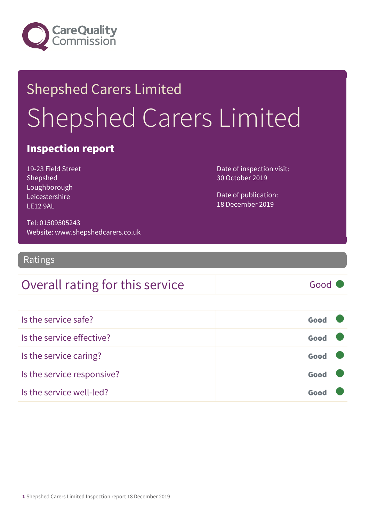

## Shepshed Carers Limited Shepshed Carers Limited

### Inspection report

19-23 Field Street Shepshed Loughborough Leicestershire LE12 9AL

Date of inspection visit: 30 October 2019

Date of publication: 18 December 2019

Tel: 01509505243 Website: www.shepshedcarers.co.uk

Ratings

### Overall rating for this service Fig. 6000

| Is the service safe?       | Good |  |
|----------------------------|------|--|
| Is the service effective?  | Good |  |
| Is the service caring?     | Good |  |
| Is the service responsive? | Good |  |
| Is the service well-led?   | Goo  |  |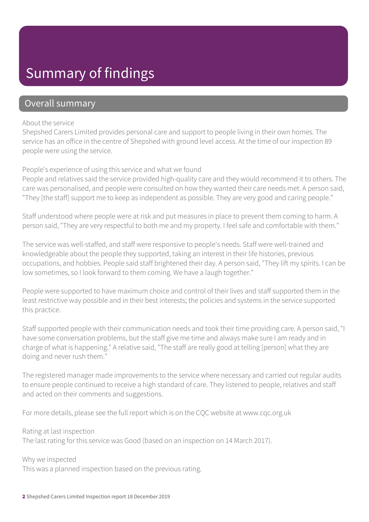### Summary of findings

#### Overall summary

#### About the service

Shepshed Carers Limited provides personal care and support to people living in their own homes. The service has an office in the centre of Shepshed with ground level access. At the time of our inspection 89 people were using the service.

#### People's experience of using this service and what we found

People and relatives said the service provided high-quality care and they would recommend it to others. The care was personalised, and people were consulted on how they wanted their care needs met. A person said, "They [the staff] support me to keep as independent as possible. They are very good and caring people."

Staff understood where people were at risk and put measures in place to prevent them coming to harm. A person said, "They are very respectful to both me and my property. I feel safe and comfortable with them."

The service was well-staffed, and staff were responsive to people's needs. Staff were well-trained and knowledgeable about the people they supported, taking an interest in their life histories, previous occupations, and hobbies. People said staff brightened their day. A person said, "They lift my spirits. I can be low sometimes, so I look forward to them coming. We have a laugh together."

People were supported to have maximum choice and control of their lives and staff supported them in the least restrictive way possible and in their best interests; the policies and systems in the service supported this practice.

Staff supported people with their communication needs and took their time providing care. A person said, "I have some conversation problems, but the staff give me time and always make sure I am ready and in charge of what is happening." A relative said, "The staff are really good at telling [person] what they are doing and never rush them."

The registered manager made improvements to the service where necessary and carried out regular audits to ensure people continued to receive a high standard of care. They listened to people, relatives and staff and acted on their comments and suggestions.

For more details, please see the full report which is on the CQC website at www.cqc.org.uk

Rating at last inspection

The last rating for this service was Good (based on an inspection on 14 March 2017).

Why we inspected

This was a planned inspection based on the previous rating.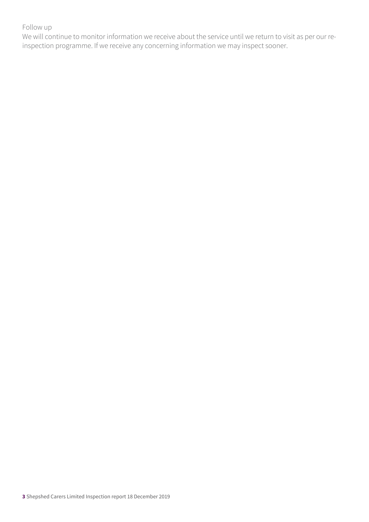#### Follow up

We will continue to monitor information we receive about the service until we return to visit as per our reinspection programme. If we receive any concerning information we may inspect sooner.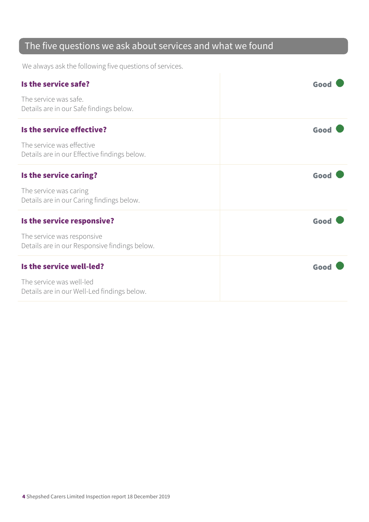### The five questions we ask about services and what we found

We always ask the following five questions of services.

| Is the service safe?                                                        | Good |
|-----------------------------------------------------------------------------|------|
| The service was safe.<br>Details are in our Safe findings below.            |      |
| Is the service effective?                                                   | Good |
| The service was effective<br>Details are in our Effective findings below.   |      |
| Is the service caring?                                                      | Good |
| The service was caring<br>Details are in our Caring findings below.         |      |
| Is the service responsive?                                                  | Good |
| The service was responsive<br>Details are in our Responsive findings below. |      |
| Is the service well-led?                                                    | Good |
| The service was well-led<br>Details are in our Well-Led findings below.     |      |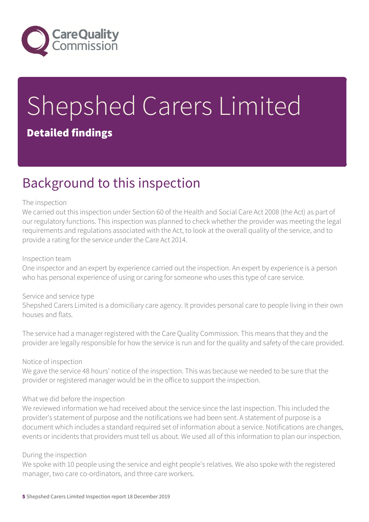

# Shepshed Carers Limited

### Detailed findings

### Background to this inspection

#### The inspection

We carried out this inspection under Section 60 of the Health and Social Care Act 2008 (the Act) as part of our regulatory functions. This inspection was planned to check whether the provider was meeting the legal requirements and regulations associated with the Act, to look at the overall quality of the service, and to provide a rating for the service under the Care Act 2014.

#### Inspection team

One inspector and an expert by experience carried out the inspection. An expert by experience is a person who has personal experience of using or caring for someone who uses this type of care service.

#### Service and service type

Shepshed Carers Limited is a domiciliary care agency. It provides personal care to people living in their own houses and flats.

The service had a manager registered with the Care Quality Commission. This means that they and the provider are legally responsible for how the service is run and for the quality and safety of the care provided.

#### Notice of inspection

We gave the service 48 hours' notice of the inspection. This was because we needed to be sure that the provider or registered manager would be in the office to support the inspection.

#### What we did before the inspection

We reviewed information we had received about the service since the last inspection. This included the provider's statement of purpose and the notifications we had been sent. A statement of purpose is a document which includes a standard required set of information about a service. Notifications are changes, events or incidents that providers must tell us about. We used all of this information to plan our inspection.

#### During the inspection

We spoke with 10 people using the service and eight people's relatives. We also spoke with the registered manager, two care co-ordinators, and three care workers.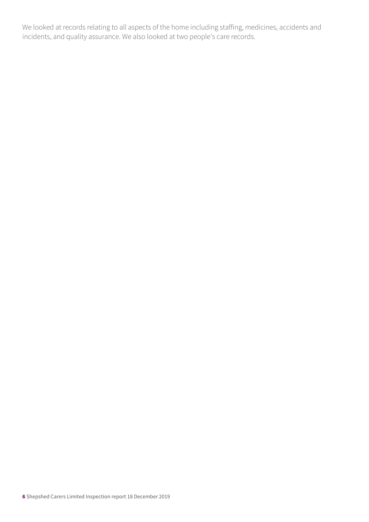We looked at records relating to all aspects of the home including staffing, medicines, accidents and incidents, and quality assurance. We also looked at two people's care records.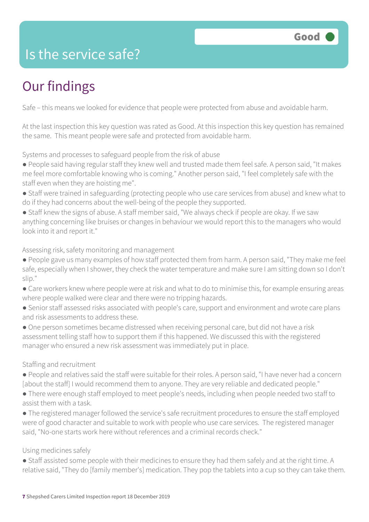### Is the service safe?

### Our findings

Safe – this means we looked for evidence that people were protected from abuse and avoidable harm.

At the last inspection this key question was rated as Good. At this inspection this key question has remained the same. This meant people were safe and protected from avoidable harm.

Systems and processes to safeguard people from the risk of abuse

● People said having regular staff they knew well and trusted made them feel safe. A person said, "It makes me feel more comfortable knowing who is coming." Another person said, "I feel completely safe with the staff even when they are hoisting me".

- Staff were trained in safeguarding (protecting people who use care services from abuse) and knew what to do if they had concerns about the well-being of the people they supported.
- Staff knew the signs of abuse. A staff member said, "We always check if people are okay. If we saw anything concerning like bruises or changes in behaviour we would report this to the managers who would look into it and report it."

Assessing risk, safety monitoring and management

- People gave us many examples of how staff protected them from harm. A person said, "They make me feel safe, especially when I shower, they check the water temperature and make sure I am sitting down so I don't slip."
- Care workers knew where people were at risk and what to do to minimise this, for example ensuring areas where people walked were clear and there were no tripping hazards.
- Senior staff assessed risks associated with people's care, support and environment and wrote care plans and risk assessments to address these.
- One person sometimes became distressed when receiving personal care, but did not have a risk assessment telling staff how to support them if this happened. We discussed this with the registered manager who ensured a new risk assessment was immediately put in place.

Staffing and recruitment

- People and relatives said the staff were suitable for their roles. A person said, "I have never had a concern [about the staff] I would recommend them to anyone. They are very reliable and dedicated people."
- There were enough staff employed to meet people's needs, including when people needed two staff to assist them with a task.
- The registered manager followed the service's safe recruitment procedures to ensure the staff employed were of good character and suitable to work with people who use care services. The registered manager said, "No-one starts work here without references and a criminal records check."

#### Using medicines safely

● Staff assisted some people with their medicines to ensure they had them safely and at the right time. A relative said, "They do [family member's] medication. They pop the tablets into a cup so they can take them.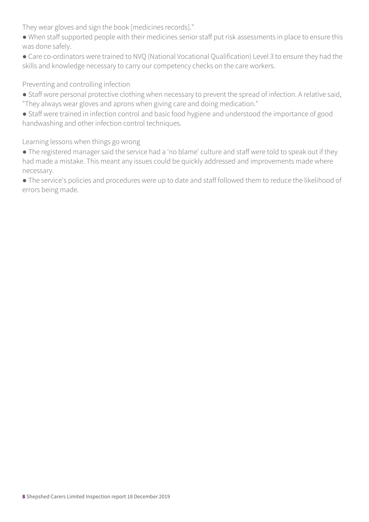They wear gloves and sign the book [medicines records]."

- When staff supported people with their medicines senior staff put risk assessments in place to ensure this was done safely.
- Care co-ordinators were trained to NVQ (National Vocational Qualification) Level 3 to ensure they had the skills and knowledge necessary to carry our competency checks on the care workers.

#### Preventing and controlling infection

- Staff wore personal protective clothing when necessary to prevent the spread of infection. A relative said, "They always wear gloves and aprons when giving care and doing medication."
- Staff were trained in infection control and basic food hygiene and understood the importance of good handwashing and other infection control techniques.

Learning lessons when things go wrong

- The registered manager said the service had a 'no blame' culture and staff were told to speak out if they had made a mistake. This meant any issues could be quickly addressed and improvements made where necessary.
- The service's policies and procedures were up to date and staff followed them to reduce the likelihood of errors being made.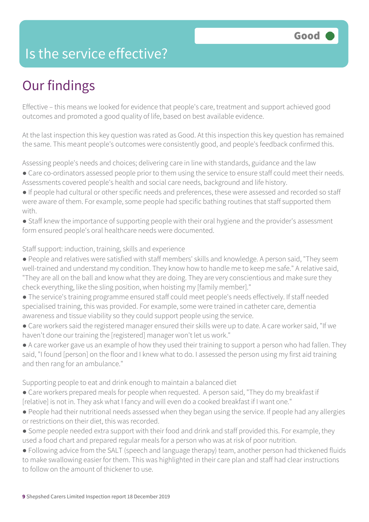### Is the service effective?

### Our findings

Effective – this means we looked for evidence that people's care, treatment and support achieved good outcomes and promoted a good quality of life, based on best available evidence.

At the last inspection this key question was rated as Good. At this inspection this key question has remained the same. This meant people's outcomes were consistently good, and people's feedback confirmed this.

Assessing people's needs and choices; delivering care in line with standards, guidance and the law

- Care co-ordinators assessed people prior to them using the service to ensure staff could meet their needs. Assessments covered people's health and social care needs, background and life history.
- If people had cultural or other specific needs and preferences, these were assessed and recorded so staff were aware of them. For example, some people had specific bathing routines that staff supported them with.
- Staff knew the importance of supporting people with their oral hygiene and the provider's assessment form ensured people's oral healthcare needs were documented.

#### Staff support: induction, training, skills and experience

- People and relatives were satisfied with staff members' skills and knowledge. A person said, "They seem well-trained and understand my condition. They know how to handle me to keep me safe." A relative said, "They are all on the ball and know what they are doing. They are very conscientious and make sure they check everything, like the sling position, when hoisting my [family member]."
- The service's training programme ensured staff could meet people's needs effectively. If staff needed specialised training, this was provided. For example, some were trained in catheter care, dementia awareness and tissue viability so they could support people using the service.
- Care workers said the registered manager ensured their skills were up to date. A care worker said, "If we haven't done our training the [registered] manager won't let us work."
- A care worker gave us an example of how they used their training to support a person who had fallen. They said, "I found [person] on the floor and I knew what to do. I assessed the person using my first aid training and then rang for an ambulance."

#### Supporting people to eat and drink enough to maintain a balanced diet

- Care workers prepared meals for people when requested. A person said, "They do my breakfast if [relative] is not in. They ask what I fancy and will even do a cooked breakfast if I want one."
- People had their nutritional needs assessed when they began using the service. If people had any allergies or restrictions on their diet, this was recorded.
- Some people needed extra support with their food and drink and staff provided this. For example, they used a food chart and prepared regular meals for a person who was at risk of poor nutrition.
- Following advice from the SALT (speech and language therapy) team, another person had thickened fluids to make swallowing easier for them. This was highlighted in their care plan and staff had clear instructions to follow on the amount of thickener to use.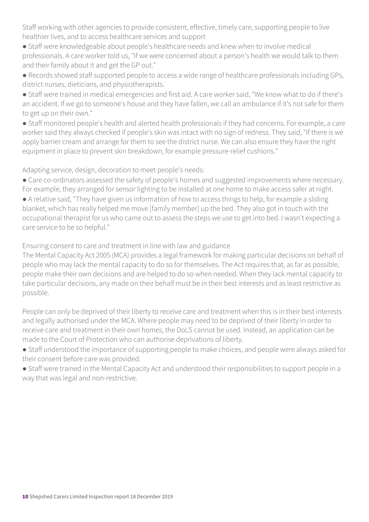Staff working with other agencies to provide consistent, effective, timely care, supporting people to live healthier lives, and to access healthcare services and support

● Staff were knowledgeable about people's healthcare needs and knew when to involve medical professionals. A care worker told us, "If we were concerned about a person's health we would talk to them and their family about it and get the GP out."

● Records showed staff supported people to access a wide range of healthcare professionals including GPs, district nurses, dieticians, and physiotherapists.

● Staff were trained in medical emergencies and first aid. A care worker said, "We know what to do if there's an accident. If we go to someone's house and they have fallen, we call an ambulance if it's not safe for them to get up on their own."

● Staff monitored people's health and alerted health professionals if they had concerns. For example, a care worker said they always checked if people's skin was intact with no sign of redness. They said, "If there is we apply barrier cream and arrange for them to see the district nurse. We can also ensure they have the right equipment in place to prevent skin breakdown, for example pressure-relief cushions."

Adapting service, design, decoration to meet people's needs:

● Care co-ordinators assessed the safety of people's homes and suggested improvements where necessary. For example, they arranged for sensor lighting to be installed at one home to make access safer at night.

● A relative said, "They have given us information of how to access things to help, for example a sliding blanket, which has really helped me move [family member] up the bed. They also got in touch with the occupational therapist for us who came out to assess the steps we use to get into bed. I wasn't expecting a care service to be so helpful."

Ensuring consent to care and treatment in line with law and guidance

The Mental Capacity Act 2005 (MCA) provides a legal framework for making particular decisions on behalf of people who may lack the mental capacity to do so for themselves. The Act requires that, as far as possible, people make their own decisions and are helped to do so when needed. When they lack mental capacity to take particular decisions, any made on their behalf must be in their best interests and as least restrictive as possible.

People can only be deprived of their liberty to receive care and treatment when this is in their best interests and legally authorised under the MCA. Where people may need to be deprived of their liberty in order to receive care and treatment in their own homes, the DoLS cannot be used. Instead, an application can be made to the Court of Protection who can authorise deprivations of liberty.

● Staff understood the importance of supporting people to make choices, and people were always asked for their consent before care was provided.

● Staff were trained in the Mental Capacity Act and understood their responsibilities to support people in a way that was legal and non-restrictive.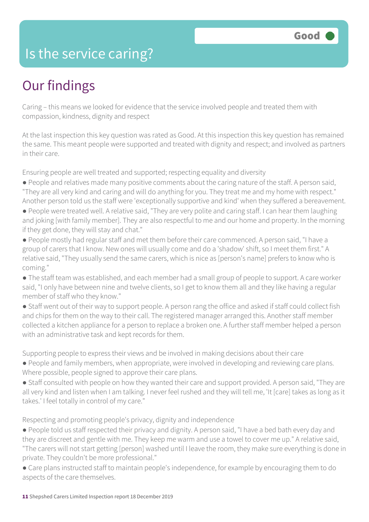### Is the service caring?

### Our findings

Caring – this means we looked for evidence that the service involved people and treated them with compassion, kindness, dignity and respect

At the last inspection this key question was rated as Good. At this inspection this key question has remained the same. This meant people were supported and treated with dignity and respect; and involved as partners in their care.

Ensuring people are well treated and supported; respecting equality and diversity

- People and relatives made many positive comments about the caring nature of the staff. A person said, "They are all very kind and caring and will do anything for you. They treat me and my home with respect." Another person told us the staff were 'exceptionally supportive and kind' when they suffered a bereavement.
- People were treated well. A relative said, "They are very polite and caring staff. I can hear them laughing and joking [with family member]. They are also respectful to me and our home and property. In the morning if they get done, they will stay and chat."
- People mostly had regular staff and met them before their care commenced. A person said, "I have a group of carers that I know. New ones will usually come and do a 'shadow' shift, so I meet them first." A relative said, "They usually send the same carers, which is nice as [person's name] prefers to know who is coming."
- The staff team was established, and each member had a small group of people to support. A care worker said, "I only have between nine and twelve clients, so I get to know them all and they like having a regular member of staff who they know."
- Staff went out of their way to support people. A person rang the office and asked if staff could collect fish and chips for them on the way to their call. The registered manager arranged this. Another staff member collected a kitchen appliance for a person to replace a broken one. A further staff member helped a person with an administrative task and kept records for them.

Supporting people to express their views and be involved in making decisions about their care

- People and family members, when appropriate, were involved in developing and reviewing care plans. Where possible, people signed to approve their care plans.
- Staff consulted with people on how they wanted their care and support provided. A person said, "They are all very kind and listen when I am talking. I never feel rushed and they will tell me, 'It [care] takes as long as it takes.' I feel totally in control of my care."

Respecting and promoting people's privacy, dignity and independence

- People told us staff respected their privacy and dignity. A person said, "I have a bed bath every day and they are discreet and gentle with me. They keep me warm and use a towel to cover me up." A relative said, "The carers will not start getting [person] washed until I leave the room, they make sure everything is done in private. They couldn't be more professional."
- Care plans instructed staff to maintain people's independence, for example by encouraging them to do aspects of the care themselves.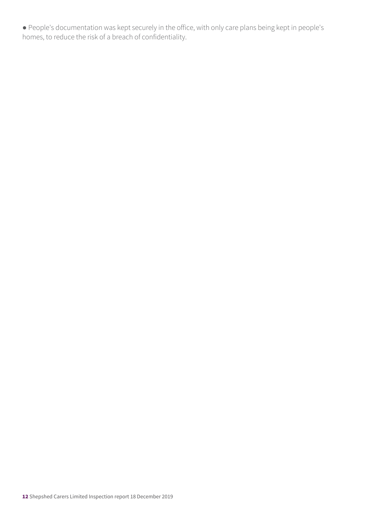● People's documentation was kept securely in the office, with only care plans being kept in people's homes, to reduce the risk of a breach of confidentiality.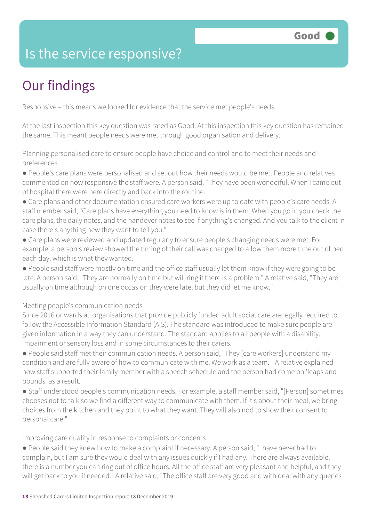### Is the service responsive?

### Our findings

Responsive – this means we looked for evidence that the service met people's needs.

At the last inspection this key question was rated as Good. At this inspection this key question has remained the same. This meant people needs were met through good organisation and delivery.

Planning personalised care to ensure people have choice and control and to meet their needs and preferences

- People's care plans were personalised and set out how their needs would be met. People and relatives commented on how responsive the staff were. A person said, "They have been wonderful. When I came out of hospital there were here directly and back into the routine."
- Care plans and other documentation ensured care workers were up to date with people's care needs. A staff member said, "Care plans have everything you need to know is in them. When you go in you check the care plans, the daily notes, and the handover notes to see if anything's changed. And you talk to the client in case there's anything new they want to tell you."
- Care plans were reviewed and updated regularly to ensure people's changing needs were met. For example, a person's review showed the timing of their call was changed to allow them more time out of bed each day, which is what they wanted.
- People said staff were mostly on time and the office staff usually let them know if they were going to be late. A person said, "They are normally on time but will ring if there is a problem." A relative said, "They are usually on time although on one occasion they were late, but they did let me know."

Meeting people's communication needs

Since 2016 onwards all organisations that provide publicly funded adult social care are legally required to follow the Accessible Information Standard (AIS). The standard was introduced to make sure people are given information in a way they can understand. The standard applies to all people with a disability, impairment or sensory loss and in some circumstances to their carers.

● People said staff met their communication needs. A person said, "They [care workers] understand my condition and are fully aware of how to communicate with me. We work as a team." A relative explained how staff supported their family member with a speech schedule and the person had come on 'leaps and bounds' as a result.

● Staff understood people's communication needs. For example, a staff member said, "[Person] sometimes chooses not to talk so we find a different way to communicate with them. If it's about their meal, we bring choices from the kitchen and they point to what they want. They will also nod to show their consent to personal care."

Improving care quality in response to complaints or concerns

● People said they knew how to make a complaint if necessary. A person said, "I have never had to complain, but I am sure they would deal with any issues quickly if I had any. There are always available, there is a number you can ring out of office hours. All the office staff are very pleasant and helpful, and they will get back to you if needed." A relative said, "The office staff are very good and with deal with any queries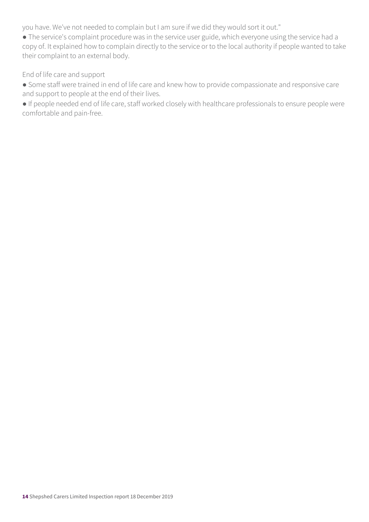you have. We've not needed to complain but I am sure if we did they would sort it out."

● The service's complaint procedure was in the service user guide, which everyone using the service had a copy of. It explained how to complain directly to the service or to the local authority if people wanted to take their complaint to an external body.

End of life care and support

● Some staff were trained in end of life care and knew how to provide compassionate and responsive care and support to people at the end of their lives.

● If people needed end of life care, staff worked closely with healthcare professionals to ensure people were comfortable and pain-free.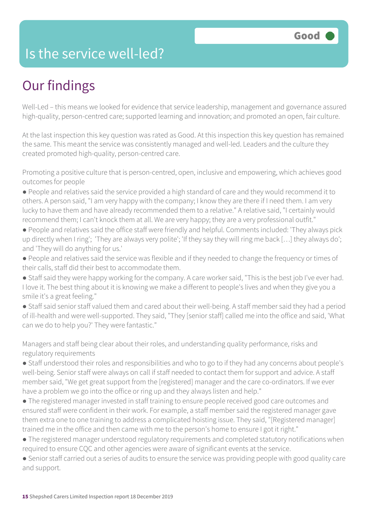### Is the service well-led?

### Our findings

Well-Led – this means we looked for evidence that service leadership, management and governance assured high-quality, person-centred care; supported learning and innovation; and promoted an open, fair culture.

At the last inspection this key question was rated as Good. At this inspection this key question has remained the same. This meant the service was consistently managed and well-led. Leaders and the culture they created promoted high-quality, person-centred care.

Promoting a positive culture that is person-centred, open, inclusive and empowering, which achieves good outcomes for people

- People and relatives said the service provided a high standard of care and they would recommend it to others. A person said, "I am very happy with the company; I know they are there if I need them. I am very lucky to have them and have already recommended them to a relative." A relative said, "I certainly would recommend them; I can't knock them at all. We are very happy; they are a very professional outfit."
- People and relatives said the office staff were friendly and helpful. Comments included: 'They always pick up directly when I ring'; 'They are always very polite'; 'If they say they will ring me back […] they always do'; and 'They will do anything for us.'
- People and relatives said the service was flexible and if they needed to change the frequency or times of their calls, staff did their best to accommodate them.
- Staff said they were happy working for the company. A care worker said, "This is the best job I've ever had. I love it. The best thing about it is knowing we make a different to people's lives and when they give you a smile it's a great feeling."
- Staff said senior staff valued them and cared about their well-being. A staff member said they had a period of ill-health and were well-supported. They said, "They [senior staff] called me into the office and said, 'What can we do to help you?' They were fantastic."

Managers and staff being clear about their roles, and understanding quality performance, risks and regulatory requirements

- Staff understood their roles and responsibilities and who to go to if they had any concerns about people's well-being. Senior staff were always on call if staff needed to contact them for support and advice. A staff member said, "We get great support from the [registered] manager and the care co-ordinators. If we ever have a problem we go into the office or ring up and they always listen and help."
- The registered manager invested in staff training to ensure people received good care outcomes and ensured staff were confident in their work. For example, a staff member said the registered manager gave them extra one to one training to address a complicated hoisting issue. They said, "[Registered manager] trained me in the office and then came with me to the person's home to ensure I got it right."
- The registered manager understood regulatory requirements and completed statutory notifications when required to ensure CQC and other agencies were aware of significant events at the service.
- Senior staff carried out a series of audits to ensure the service was providing people with good quality care and support.